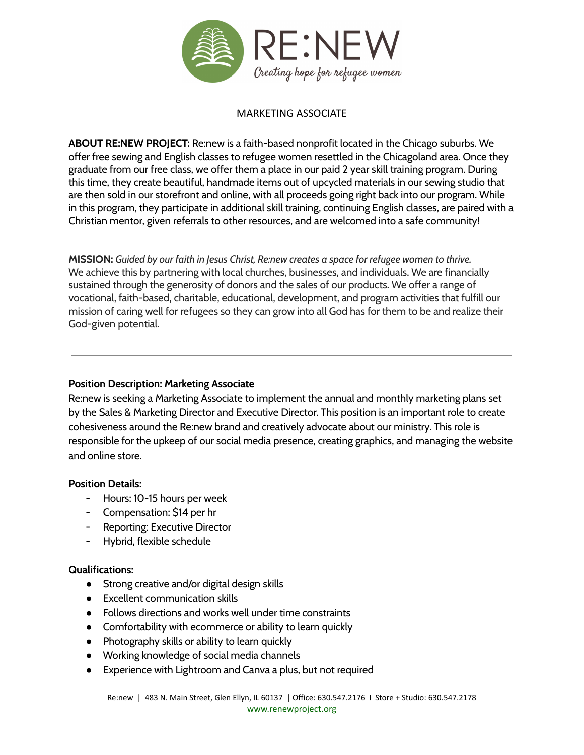

# MARKETING ASSOCIATE

**ABOUT RE:NEW PROJECT:** Re:new is a faith-based nonprofit located in the Chicago suburbs. We offer free sewing and English classes to refugee women resettled in the Chicagoland area. Once they graduate from our free class, we offer them a place in our paid 2 year skill training program. During this time, they create beautiful, handmade items out of upcycled materials in our sewing studio that are then sold in our storefront and online, with all proceeds going right back into our program. While in this program, they participate in additional skill training, continuing English classes, are paired with a Christian mentor, given referrals to other resources, and are welcomed into a safe community!

**MISSION:** *Guided by our faith in Jesus Christ, Re:new creates a space for refugee women to thrive.* We achieve this by partnering with local churches, businesses, and individuals. We are financially sustained through the generosity of donors and the sales of our products. We offer a range of vocational, faith-based, charitable, educational, development, and program activities that fulfill our mission of caring well for refugees so they can grow into all God has for them to be and realize their God-given potential.

## **Position Description: Marketing Associate**

Re:new is seeking a Marketing Associate to implement the annual and monthly marketing plans set by the Sales & Marketing Director and Executive Director. This position is an important role to create cohesiveness around the Re:new brand and creatively advocate about our ministry. This role is responsible for the upkeep of our social media presence, creating graphics, and managing the website and online store.

## **Position Details:**

- Hours: 10-15 hours per week
- Compensation: \$14 per hr
- Reporting: Executive Director
- Hybrid, flexible schedule

## **Qualifications:**

- Strong creative and/or digital design skills
- Excellent communication skills
- Follows directions and works well under time constraints
- Comfortability with ecommerce or ability to learn quickly
- Photography skills or ability to learn quickly
- Working knowledge of social media channels
- Experience with Lightroom and Canva a plus, but not required